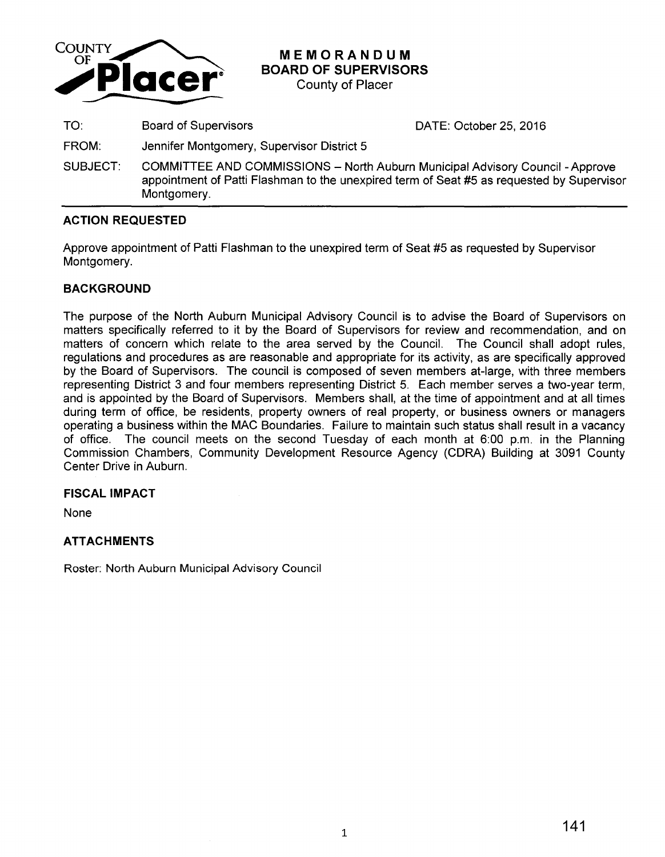

**MEMORANDUM BOARD OF SUPERVISORS** 

County of Placer

TO: Board of Supervisors

DATE: October 25, 2016

- FROM: Jennifer Montgomery, Supervisor District 5
- SUBJECT: COMMITTEE AND COMMISSIONS North Auburn Municipal Advisory Council Approve appointment of Patti Flashman to the unexpired term of Seat #5 as requested by Supervisor Montgomery.

# **ACTION REQUESTED**

Approve appointment of Patti Flashman to the unexpired term of Seat #5 as requested by Supervisor Montgomery.

# **BACKGROUND**

The purpose of the North Auburn Municipal Advisory Council is to advise the Board of Supervisors on matters specifically referred to it by the Board of Supervisors for review and recommendation, and on matters of concern which relate to the area served by the Council. The Council shall adopt rules, regulations and procedures as are reasonable and appropriate for its activity, as are specifically approved by the Board of Supervisors. The council is composed of seven members at-large, with three members representing District 3 and four members representing District 5. Each member serves a two-year term, and is appointed by the Board of Supervisors. Members shall, at the time of appointment and at all times during term of office, be residents, property owners of real property, or business owners or managers operating a business within the MAC Boundaries. Failure to maintain such status shall result in a vacancy of office. The council meets on the second Tuesday of each month at 6:00 p.m. in the Planning Commission Chambers, Community Development Resource Agency (CORA) Building at 3091 County Center Drive in Auburn.

## **FISCAL IMPACT**

None

# **ATTACHMENTS**

Roster: North Auburn Municipal Advisory Council